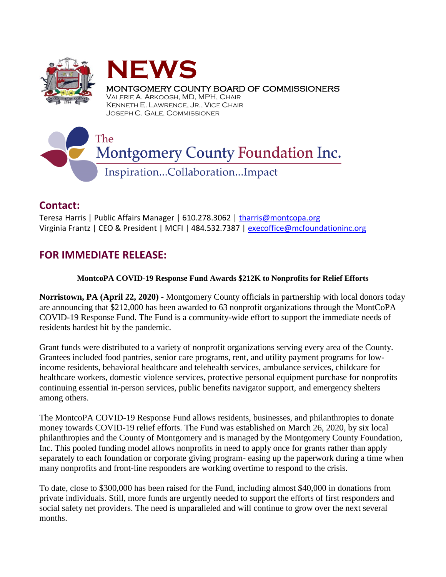



MONTGOMERY COUNTY BOARD OF COMMISSIONERS

VALERIE A. ARKOOSH, MD, MPH, CHAIR KENNETH E. LAWRENCE, JR., VICE CHAIR JOSEPH C. GALE, COMMISSIONER

## The **Montgomery County Foundation Inc.** Inspiration...Collaboration...Impact

## **Contact:**

Teresa Harris | Public Affairs Manager | 610.278.3062 | [tharris@montcopa.org](mailto:tharris@montcopa.org) Virginia Frantz | CEO & President | MCFI | 484.532.7387 | [execoffice@mcfoundationinc.org](mailto:execoffice@mcfoundationinc.org)

## **FOR IMMEDIATE RELEASE:**

## **MontcoPA COVID-19 Response Fund Awards \$212K to Nonprofits for Relief Efforts**

**Norristown, PA (April 22, 2020) -** Montgomery County officials in partnership with local donors today are announcing that \$212,000 has been awarded to 63 nonprofit organizations through the MontCoPA COVID-19 Response Fund. The Fund is a community-wide effort to support the immediate needs of residents hardest hit by the pandemic.

Grant funds were distributed to a variety of nonprofit organizations serving every area of the County. Grantees included food pantries, senior care programs, rent, and utility payment programs for lowincome residents, behavioral healthcare and telehealth services, ambulance services, childcare for healthcare workers, domestic violence services, protective personal equipment purchase for nonprofits continuing essential in-person services, public benefits navigator support, and emergency shelters among others.

The MontcoPA COVID-19 Response Fund allows residents, businesses, and philanthropies to donate money towards COVID-19 relief efforts. The Fund was established on March 26, 2020, by six local philanthropies and the County of Montgomery and is managed by the Montgomery County Foundation, Inc. This pooled funding model allows nonprofits in need to apply once for grants rather than apply separately to each foundation or corporate giving program- easing up the paperwork during a time when many nonprofits and front-line responders are working overtime to respond to the crisis.

To date, close to \$300,000 has been raised for the Fund, including almost \$40,000 in donations from private individuals. Still, more funds are urgently needed to support the efforts of first responders and social safety net providers. The need is unparalleled and will continue to grow over the next several months.